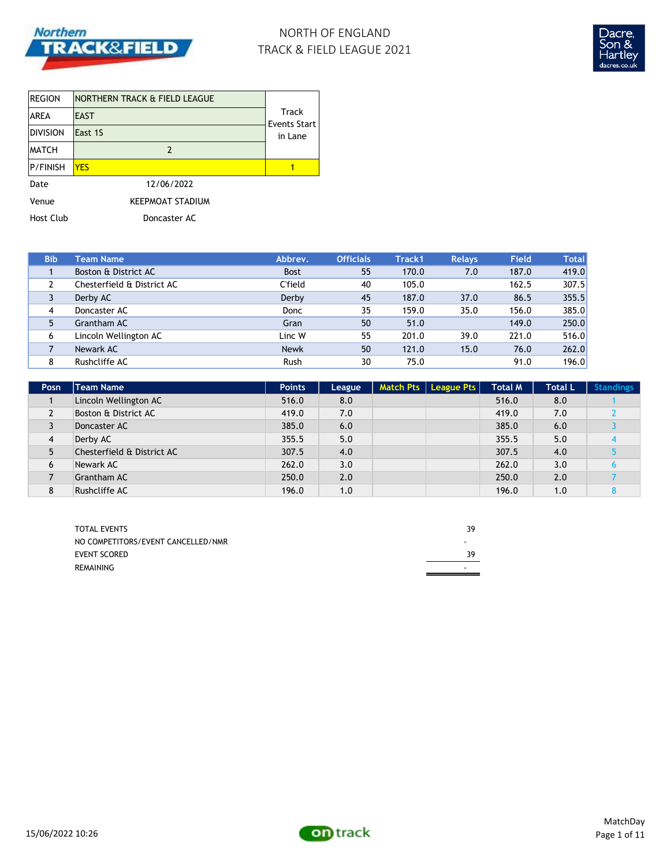

# NORTH OF ENGLAND TRACK & FIELD LEAGUE 2021



| <b>REGION</b>    | NORTHERN TRACK & FIELD LEAGUE |                         |  |  |  |
|------------------|-------------------------------|-------------------------|--|--|--|
| <b>AREA</b>      | <b>EAST</b>                   |                         |  |  |  |
| <b>DIVISION</b>  | East 1S                       | Events Start<br>in Lane |  |  |  |
| <b>MATCH</b>     | 2                             |                         |  |  |  |
| <b>P/FINISH</b>  | <b>YES</b>                    |                         |  |  |  |
| Date             | 12/06/2022                    |                         |  |  |  |
| Venue            | <b>KEEPMOAT STADIUM</b>       |                         |  |  |  |
| <b>Host Club</b> | Doncaster AC                  |                         |  |  |  |

| <b>Bib</b> | <b>Team Name</b>           | Abbrev.        | <b>Officials</b> | Track1 | <b>Relays</b> | <b>Field</b> | <b>Total</b> |
|------------|----------------------------|----------------|------------------|--------|---------------|--------------|--------------|
|            | Boston & District AC       | <b>Bost</b>    | 55               | 170.0  | 7.0           | 187.0        | 419.0        |
|            | Chesterfield & District AC | <b>C'field</b> | 40               | 105.0  |               | 162.5        | 307.5        |
|            | Derby AC                   | Derby          | 45               | 187.0  | 37.0          | 86.5         | 355.5        |
| 4          | Doncaster AC               | Donc           | 35               | 159.0  | 35.0          | 156.0        | 385.0        |
| 5          | Grantham AC                | Gran           | 50               | 51.0   |               | 149.0        | 250.0        |
| 6          | Lincoln Wellington AC      | Linc W         | 55               | 201.0  | 39.0          | 221.0        | 516.0        |
|            | Newark AC                  | <b>Newk</b>    | 50               | 121.0  | 15.0          | 76.0         | 262.0        |
| 8          | Rushcliffe AC              | Rush           | 30               | 75.0   |               | 91.0         | 196.0        |

| Posn           | Team Name                  | <b>Points</b> | League | Match Pts   League Pts | <b>Total M</b> | <b>Total L</b> | <b>Standings</b> |
|----------------|----------------------------|---------------|--------|------------------------|----------------|----------------|------------------|
|                | Lincoln Wellington AC      | 516.0         | 8.0    |                        | 516.0          | 8.0            |                  |
| $\overline{2}$ | Boston & District AC       | 419.0         | 7.0    |                        | 419.0          | 7.0            |                  |
| 3              | Doncaster AC               | 385.0         | 6.0    |                        | 385.0          | 6.0            |                  |
| $\overline{4}$ | Derby AC                   | 355.5         | 5.0    |                        | 355.5          | 5.0            |                  |
| 5              | Chesterfield & District AC | 307.5         | 4.0    |                        | 307.5          | 4.0            |                  |
| 6              | Newark AC                  | 262.0         | 3.0    |                        | 262.0          | 3.0            |                  |
|                | <b>Grantham AC</b>         | 250.0         | 2.0    |                        | 250.0          | 2.0            |                  |
| 8              | Rushcliffe AC              | 196.0         | 1.0    |                        | 196.0          | 1.0            |                  |

| <b>TOTAL EVENTS</b>                | 39 |
|------------------------------------|----|
| NO COMPETITORS/EVENT CANCELLED/NMR | -  |
| <b>EVENT SCORED</b>                | ٦q |
| REMAINING                          | -  |

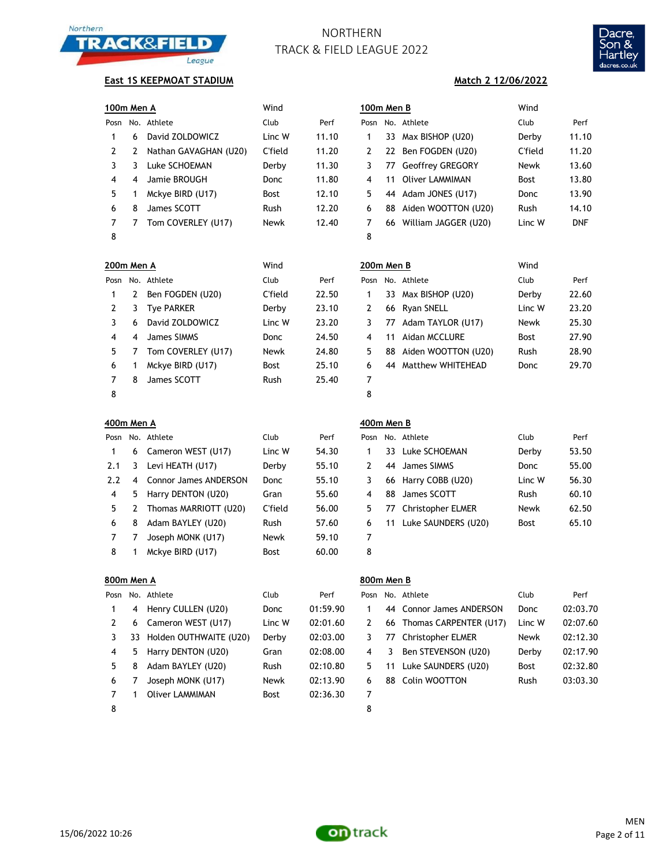



### **East 1S KEEPMOAT STADIUM**

| 100m Men A |   |                       | Wind        | 100m Men B |      |    | Wind                    |             |            |
|------------|---|-----------------------|-------------|------------|------|----|-------------------------|-------------|------------|
| Posn       |   | No. Athlete           | Club        | Perf       | Posn |    | No. Athlete             | Club        | Perf       |
|            | 6 | David ZOLDOWICZ       | Linc W      | 11.10      |      | 33 | Max BISHOP (U20)        | Derby       | 11.10      |
|            |   | Nathan GAVAGHAN (U20) | C'field     | 11.20      | 2    | 22 | Ben FOGDEN (U20)        | C'field     | 11.20      |
|            |   | Luke SCHOEMAN         | Derby       | 11.30      | 3.   | 77 | <b>Geoffrey GREGORY</b> | Newk        | 13.60      |
| 4          | 4 | Jamie BROUGH          | Donc        | 11.80      | 4    | 11 | Oliver LAMMIMAN         | <b>Bost</b> | 13.80      |
| 5          |   | Mckye BIRD (U17)      | <b>Bost</b> | 12.10      | 5.   | 44 | Adam JONES (U17)        | <b>Donc</b> | 13.90      |
| 6          | 8 | James SCOTT           | Rush        | 12.20      | 6    | 88 | Aiden WOOTTON (U20)     | Rush        | 14.10      |
|            |   | Tom COVERLEY (U17)    | <b>Newk</b> | 12.40      |      |    | 66 William JAGGER (U20) | Linc W      | <b>DNF</b> |

**200m Men A** Wind **200m Men B** Wind

|    |                | osn No. Athlete       | Club        | Perf  |    | Posn No. Athlete        | Club        | F           |
|----|----------------|-----------------------|-------------|-------|----|-------------------------|-------------|-------------|
| 1. | 6              | David ZOLDOWICZ       | Linc W      | 11.10 |    | 33 Max BISHOP (U20)     | Derby       | $1^{\circ}$ |
| 2. | 2              | Nathan GAVAGHAN (U20) | C'field     | 11.20 | 2  | 22 Ben FOGDEN (U20)     | C'field     | $1^{\circ}$ |
| 3  | 3              | Luke SCHOEMAN         | Derby       | 11.30 | 3. | 77 Geoffrey GREGORY     | Newk        | 13          |
| 4  | $\overline{4}$ | Jamie BROUGH          | <b>Donc</b> | 11.80 | 4  | 11 Oliver LAMMIMAN      | <b>Bost</b> | 13          |
| 5. |                | Mckye BIRD (U17)      | <b>Bost</b> | 12.10 | 5  | 44 Adam JONES (U17)     | <b>Donc</b> | 13          |
| 6  | 8              | James SCOTT           | Rush        | 12.20 | 6  | 88 Aiden WOOTTON (U20)  | <b>Rush</b> | 14          |
|    |                | Tom COVERLEY (U17)    | <b>Newk</b> | 12.40 |    | 66 William JAGGER (U20) | Linc W      | С           |
| 8  |                |                       |             |       | 8  |                         |             |             |

**Match 2 12/06/2022**

|    | 00m Men A |                    | Wind        |       | 200m Men B |    |                     | Wind        |       |
|----|-----------|--------------------|-------------|-------|------------|----|---------------------|-------------|-------|
|    |           | osn No. Athlete    | Club        | Perf  | Posn       |    | No. Athlete         | Club        | Perf  |
| 1  | 2         | Ben FOGDEN (U20)   | C'field     | 22.50 |            |    | 33 Max BISHOP (U20) | Derby       | 22.60 |
| 2  | 3         | <b>Tye PARKER</b>  | Derby       | 23.10 | 2          |    | 66 Ryan SNELL       | Linc W      | 23.20 |
| 3  | 6         | David ZOLDOWICZ    | Linc W      | 23.20 | 3.         | 77 | Adam TAYLOR (U17)   | Newk        | 25.30 |
| 4  | 4         | James SIMMS        | <b>Donc</b> | 24.50 | 4          | 11 | Aidan MCCLURE       | <b>Bost</b> | 27.90 |
| 5. |           | Tom COVERLEY (U17) | Newk        | 24.80 | 5.         | 88 | Aiden WOOTTON (U20) | <b>Rush</b> | 28.90 |
| 6  |           | Mckye BIRD (U17)   | <b>Bost</b> | 25.10 | 6          | 44 | Matthew WHITEHEAD   | Donc        | 29.70 |
| 7  | 8         | James SCOTT        | Rush        | 25.40 | 7          |    |                     |             |       |
| 8  |           |                    |             |       | 8          |    |                     |             |       |

| 400m Men A |                |                       |             |       | 400m Men B    |    |                          |        |       |  |  |
|------------|----------------|-----------------------|-------------|-------|---------------|----|--------------------------|--------|-------|--|--|
| Posn       |                | No. Athlete           | Club        | Perf  | Posn          |    | No. Athlete              | Club   | Perf  |  |  |
|            |                | 6 Cameron WEST (U17)  | Linc W      | 54.30 |               |    | 33 Luke SCHOEMAN         | Derby  | 53.50 |  |  |
| 2.1        | 3              | Levi HEATH (U17)      | Derby       | 55.10 | $\mathcal{L}$ |    | 44 James SIMMS           | Donc   | 55.00 |  |  |
| 2.2        | $\overline{4}$ | Connor James ANDERSON | Donc        | 55.10 | 3             |    | 66 Harry COBB (U20)      | Linc W | 56.30 |  |  |
| 4          | 5.             | Harry DENTON (U20)    | Gran        | 55.60 | 4             | 88 | James SCOTT              | Rush   | 60.10 |  |  |
| 5.         |                | Thomas MARRIOTT (U20) | C'field     | 56.00 | 5.            | 77 | <b>Christopher ELMER</b> | Newk   | 62.50 |  |  |
| 6          | 8              | Adam BAYLEY (U20)     | <b>Rush</b> | 57.60 | 6             |    | 11 Luke SAUNDERS (U20)   | Bost   | 65.10 |  |  |
|            |                | Joseph MONK (U17)     | Newk        | 59.10 | 7             |    |                          |        |       |  |  |
| 8          |                | Mckye BIRD (U17)      | <b>Bost</b> | 60.00 | 8             |    |                          |        |       |  |  |
|            |                |                       |             |       |               |    |                          |        |       |  |  |

|      |             |                     | 400m Men B |                        |             |       |
|------|-------------|---------------------|------------|------------------------|-------------|-------|
|      | Club        | Perf                |            | Posn No. Athlete       | Club        | Perf  |
|      | Linc W      | 54.30               | 1          | 33 Luke SCHOEMAN       | Derby       | 53.50 |
|      | Derby       | 55.10               | 2          | 44 James SIMMS         | Donc        | 55.00 |
| SON  | Donc        | 55.10               | 3          | 66 Harry COBB (U20)    | Linc W      | 56.30 |
|      | Gran        | 55.60               | 4          | 88 James SCOTT         | <b>Rush</b> | 60.10 |
| J20) | C'field     | 56.00               | 5          | 77 Christopher ELMER   | Newk        | 62.50 |
|      | <b>Rush</b> | 57.60               | 6          | 11 Luke SAUNDERS (U20) | <b>Bost</b> | 65.10 |
|      | <b>Newk</b> | 59.10               | 7          |                        |             |       |
|      | $D = -1$    | $\epsilon$ $\alpha$ | $\circ$    |                        |             |       |

|      | 800m Men A |                        |             |          |      |    | 800m Men B                |             |          |  |  |  |  |
|------|------------|------------------------|-------------|----------|------|----|---------------------------|-------------|----------|--|--|--|--|
| Posn |            | No. Athlete            | Club        | Perf     | Posn |    | No. Athlete               | Club        | Perf     |  |  |  |  |
|      | 4          | Henry CULLEN (U20)     | Donc        | 01:59.90 |      |    | 44 Connor James ANDERSON  | Donc        | 02:03.70 |  |  |  |  |
| 2    | 6          | Cameron WEST (U17)     | Linc W      | 02:01.60 | 2    |    | 66 Thomas CARPENTER (U17) | Linc W      | 02:07.60 |  |  |  |  |
| 3    | 33         | Holden OUTHWAITE (U20) | Derby       | 02:03.00 | 3    | 77 | <b>Christopher ELMER</b>  | <b>Newk</b> | 02:12.30 |  |  |  |  |
| 4    | 5          | Harry DENTON (U20)     | Gran        | 02:08.00 | 4    | 3  | Ben STEVENSON (U20)       | Derby       | 02:17.90 |  |  |  |  |
| 5.   | 8          | Adam BAYLEY (U20)      | <b>Rush</b> | 02:10.80 | 5.   | 11 | Luke SAUNDERS (U20)       | <b>Bost</b> | 02:32.80 |  |  |  |  |
| 6    |            | Joseph MONK (U17)      | <b>Newk</b> | 02:13.90 | 6    | 88 | Colin WOOTTON             | Rush        | 03:03.30 |  |  |  |  |
|      |            | Oliver LAMMIMAN        | Bost        | 02:36.30 | 7    |    |                           |             |          |  |  |  |  |
| 8    |            |                        |             |          | 8    |    |                           |             |          |  |  |  |  |

| osn |    | No. Athlete               | Club        | Perf     |
|-----|----|---------------------------|-------------|----------|
| 1   |    | 44 Connor James ANDERSON  | Donc        | 02:03.70 |
| 2   |    | 66 Thomas CARPENTER (U17) | Linc W      | 02:07.60 |
| 3   |    | 77 Christopher ELMER      | <b>Newk</b> | 02:12.30 |
| 4   | 3  | Ben STEVENSON (U20)       | Derby       | 02:17.90 |
| 5.  |    | 11 Luke SAUNDERS (U20)    | <b>Bost</b> | 02:32.80 |
| 6   | 88 | Colin WOOTTON             | Rush        | 03:03.30 |
| 7   |    |                           |             |          |

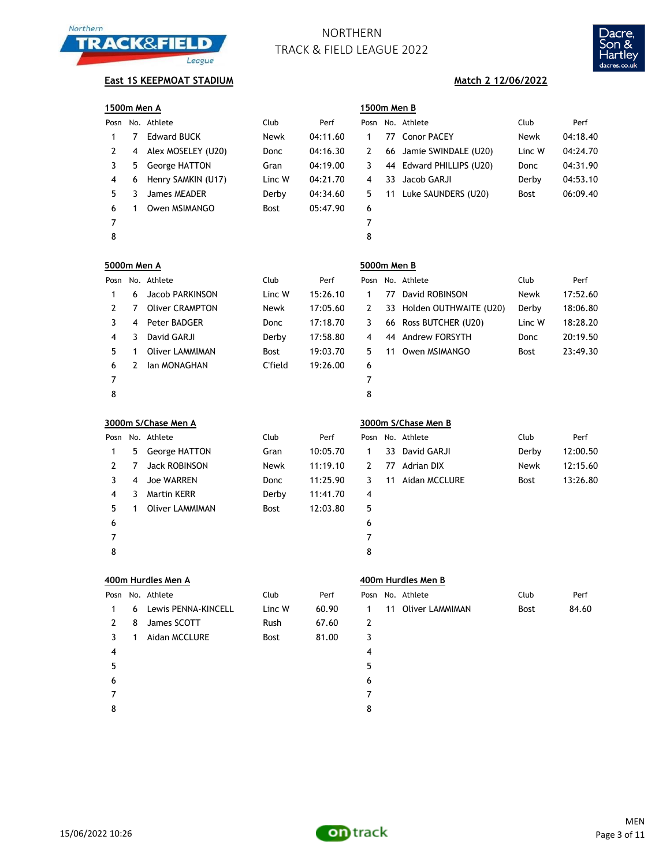



# **East 1S KEEPMOAT STADIUM Match 2 12/06/2022**

|                    | 1500m Men A    |                        |         |          |             | 1500m Men B |                          |        |          |  |  |
|--------------------|----------------|------------------------|---------|----------|-------------|-------------|--------------------------|--------|----------|--|--|
|                    |                | Posn No. Athlete       | Club    | Perf     | Posn        |             | No. Athlete              | Club   | Perf     |  |  |
| $\mathbf{1}$       | $\overline{7}$ | <b>Edward BUCK</b>     | Newk    | 04:11.60 | 1           |             | 77 Conor PACEY           | Newk   | 04:18.40 |  |  |
| 2                  | 4              | Alex MOSELEY (U20)     | Donc    | 04:16.30 | 2           | 66          | Jamie SWINDALE (U20)     | Linc W | 04:24.70 |  |  |
| 3                  | 5              | George HATTON          | Gran    | 04:19.00 | 3           |             | 44 Edward PHILLIPS (U20) | Donc   | 04:31.90 |  |  |
| 4                  | 6              | Henry SAMKIN (U17)     | Linc W  | 04:21.70 | 4           | 33          | Jacob GARJI              | Derby  | 04:53.10 |  |  |
| 5                  | 3              | James MEADER           | Derby   | 04:34.60 | 5           | 11          | Luke SAUNDERS (U20)      | Bost   | 06:09.40 |  |  |
| 6                  | 1              | Owen MSIMANGO          | Bost    | 05:47.90 | 6           |             |                          |        |          |  |  |
| 7                  |                |                        |         |          | 7           |             |                          |        |          |  |  |
| 8                  |                |                        |         |          | 8           |             |                          |        |          |  |  |
| <b>5000m Men A</b> |                |                        |         |          | 5000m Men B |             |                          |        |          |  |  |
| Posn               |                | No. Athlete            | Club    | Perf     | Posn        |             | No. Athlete              | Club   | Perf     |  |  |
| $\mathbf{1}$       | 6              | Jacob PARKINSON        | Linc W  | 15:26.10 | 1           | 77          | David ROBINSON           | Newk   | 17:52.60 |  |  |
| 2                  | 7              | <b>Oliver CRAMPTON</b> | Newk    | 17:05.60 | 2           | 33          | Holden OUTHWAITE (U20)   | Derby  | 18:06.80 |  |  |
| 3                  | 4              | Peter BADGER           | Donc    | 17:18.70 | 3           | 66          | Ross BUTCHER (U20)       | Linc W | 18:28.20 |  |  |
| 4                  | 3              | David GARJI            | Derby   | 17:58.80 | 4           | 44          | Andrew FORSYTH           | Donc   | 20:19.50 |  |  |
| 5                  | 1              | <b>Oliver LAMMIMAN</b> | Bost    | 19:03.70 | 5           | 11          | Owen MSIMANGO            | Bost   | 23:49.30 |  |  |
| 6                  | 2              | Ian MONAGHAN           | C'field | 19:26.00 | 6           |             |                          |        |          |  |  |
| $\overline{7}$     |                |                        |         |          | 7           |             |                          |        |          |  |  |
| 8                  |                |                        |         |          | 8           |             |                          |        |          |  |  |
|                    |                | 3000m S/Chase Men A    |         |          |             |             | 3000m S/Chase Men B      |        |          |  |  |
|                    |                | Posn No. Athlete       | Club    | Perf     | Posn        |             | No. Athlete              | Club   | Perf     |  |  |
| 1                  | 5              | George HATTON          | Gran    | 10:05.70 | 1           | 33          | David GARJI              | Derby  | 12:00.50 |  |  |
| 2                  | 7              | <b>Jack ROBINSON</b>   | Newk    | 11:19.10 | 2           | 77          | <b>Adrian DIX</b>        | Newk   | 12:15.60 |  |  |
| 3                  | 4              | <b>Joe WARREN</b>      | Donc    | 11:25.90 | 3           | 11          | Aidan MCCLURE            | Bost   | 13:26.80 |  |  |
| 4                  | 3              | <b>Martin KERR</b>     | Derby   | 11:41.70 | 4           |             |                          |        |          |  |  |
| 5                  | 1              | <b>Oliver LAMMIMAN</b> | Bost    | 12:03.80 | 5           |             |                          |        |          |  |  |
| 6                  |                |                        |         |          | 6           |             |                          |        |          |  |  |
| 7                  |                |                        |         |          | 7           |             |                          |        |          |  |  |
| 8                  |                |                        |         |          | 8           |             |                          |        |          |  |  |
|                    |                | 400m Hurdles Men A     |         |          |             |             | 400m Hurdles Men B       |        |          |  |  |
|                    |                | Posn No. Athlete       | Club    | Perf     | Posn        |             | No. Athlete              | Club   | Perf     |  |  |
| $\mathbf{1}$       | 6              | Lewis PENNA-KINCELL    | Linc W  | 60.90    | 1           |             | 11 Oliver LAMMIMAN       | Bost   | 84.60    |  |  |
| 2                  | 8              | James SCOTT            | Rush    | 67.60    | 2           |             |                          |        |          |  |  |
| 3                  | 1              | Aidan MCCLURE          | Bost    | 81.00    | 3           |             |                          |        |          |  |  |
| 4                  |                |                        |         |          | 4           |             |                          |        |          |  |  |
| 5                  |                |                        |         |          | 5           |             |                          |        |          |  |  |
| 6                  |                |                        |         |          | 6           |             |                          |        |          |  |  |
| 7                  |                |                        |         |          | 7           |             |                          |        |          |  |  |
| 8                  |                |                        |         |          | 8           |             |                          |        |          |  |  |

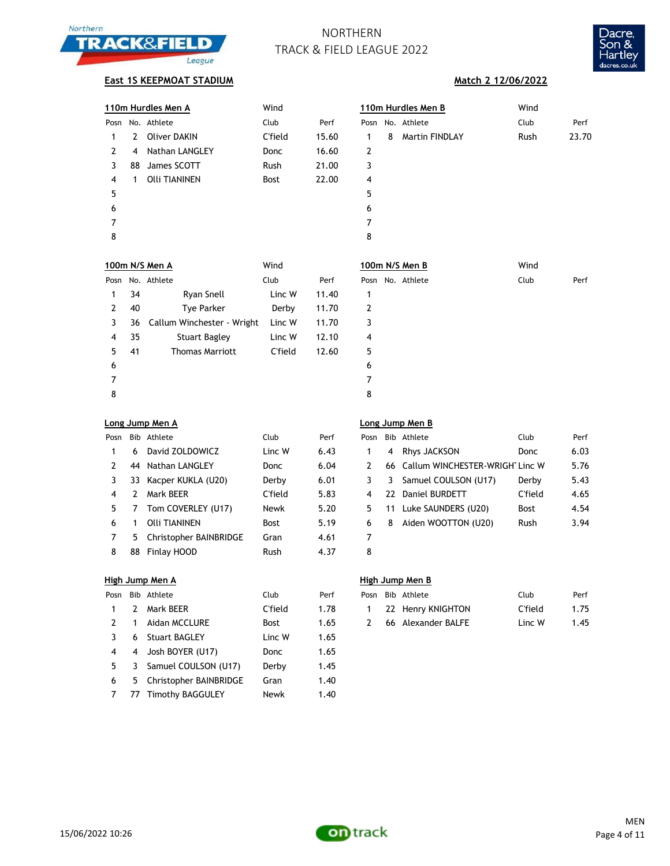



## **East 1S KEEPMOAT STADIUM Match 2 12/06/2022**

|   |    | 110m Hurdles Men A         | Wind           |                   |              |   | 110m Hurdles Men B                 | Wind           |       |
|---|----|----------------------------|----------------|-------------------|--------------|---|------------------------------------|----------------|-------|
|   |    | Posn No. Athlete           | Club           | Perf              |              |   | Posn No. Athlete                   | Club           | Perf  |
| 1 | 2  | <b>Oliver DAKIN</b>        | <b>C'field</b> | 15.60             | 1            | 8 | Martin FINDLAY                     | Rush           | 23.70 |
| 2 | 4  | Nathan LANGLEY             | Donc           | 16.60             | 2            |   |                                    |                |       |
| 3 | 88 | James SCOTT                | Rush           | 21.00             | 3            |   |                                    |                |       |
| 4 | 1  | <b>Olli TIANINEN</b>       | Bost           | 22.00             | 4            |   |                                    |                |       |
| 5 |    |                            |                |                   | 5            |   |                                    |                |       |
| 6 |    |                            |                |                   | 6            |   |                                    |                |       |
| 7 |    |                            |                |                   | 7            |   |                                    |                |       |
| 8 |    |                            |                |                   | 8            |   |                                    |                |       |
|   |    | 100m N/S Men A             | Wind           |                   |              |   | 100m N/S Men B                     | Wind           |       |
|   |    | Posn No. Athlete           | Club           | Perf              |              |   | Posn No. Athlete                   | Club           | Perf  |
| 1 | 34 | Ryan Snell                 | Linc W         | 11.40             | 1            |   |                                    |                |       |
| 2 | 40 | Tye Parker                 | Derby          | 11.70             | 2            |   |                                    |                |       |
| 3 | 36 | Callum Winchester - Wright | Linc W         | 11.70             | 3            |   |                                    |                |       |
| 4 | 35 | <b>Stuart Bagley</b>       | Linc W         | 12.10             | 4            |   |                                    |                |       |
| 5 | 41 | <b>Thomas Marriott</b>     | C'field        | 12.60             | 5            |   |                                    |                |       |
| 6 |    |                            |                |                   | 6            |   |                                    |                |       |
| 7 |    |                            |                |                   | 7            |   |                                    |                |       |
| 8 |    |                            |                |                   | 8            |   |                                    |                |       |
|   |    | <u>Long Jump Men A</u>     |                |                   |              |   | Long Jump Men B                    |                |       |
|   |    | Posn Bib Athlete           | Club           | Perf              |              |   | Posn Bib Athlete                   | Club           | Perf  |
| 1 | 6  | David ZOLDOWICZ            | Linc W         | 6.43              | $\mathbf{1}$ | 4 | Rhys JACKSON                       | Donc           | 6.03  |
| 2 | 44 | Nathan LANGLEY             | Donc           | 6.04              | 2            |   | 66 Callum WINCHESTER-WRIGHT Linc W |                | 5.76  |
| 3 | 33 | Kacper KUKLA (U20)         | Derby          | 6.01              | 3            | 3 | Samuel COULSON (U17)               | Derby          | 5.43  |
| 4 | 2  | Mark BEER                  | <b>C'field</b> | 5.83              | 4            |   | 22 Daniel BURDETT                  | <b>C'field</b> | 4.65  |
| 5 | 7  | Tom COVERLEY (U17)         | Newk           | 5.20              | 5            |   | 11 Luke SAUNDERS (U20)             | Bost           | 4.54  |
| 6 | 1  | <b>Olli TIANINEN</b>       | Bost           | 5.19              | 6            | 8 | Aiden WOOTTON (U20)                | Rush           | 3.94  |
| 7 | 5  | Christopher BAINBRIDGE     | Gran           | 4.61              | 7            |   |                                    |                |       |
| 8 | 88 | Finlay HOOD                | Rush           | 4.37              | 8            |   |                                    |                |       |
|   |    | <u>High Jump Men A</u>     |                |                   |              |   | <b>High Jump Men B</b>             |                |       |
|   |    | Posn Bib Athlete           | Club           | Perf              |              |   | Posn Bib Athlete                   | Club           | Perf  |
| 1 | 2  | Mark BEER                  | C'field        | 1.78              | 1            |   | 22 Henry KNIGHTON                  | <b>C'field</b> | 1.75  |
| 2 | 1  | Aidan MCCLURE              | Bost           | 1.65              | 2            |   | 66 Alexander BALFE                 | Linc W         | 1.45  |
| 3 | 6  | <b>Stuart BAGLEY</b>       | Linc W         | 1.65              |              |   |                                    |                |       |
| 4 | 4  | Josh BOYER (U17)           | Donc           | 1.65              |              |   |                                    |                |       |
| 5 | 3  | Samuel COULSON (U17)       | Derby          | 1.45              |              |   |                                    |                |       |
| L |    | 5 Christopher RAINRRIDGE   | $C_{r2n}$      | $1 \overline{40}$ |              |   |                                    |                |       |

 5 Christopher BAINBRIDGE Gran 1.40 7 77 Timothy BAGGULEY Newk 1.40

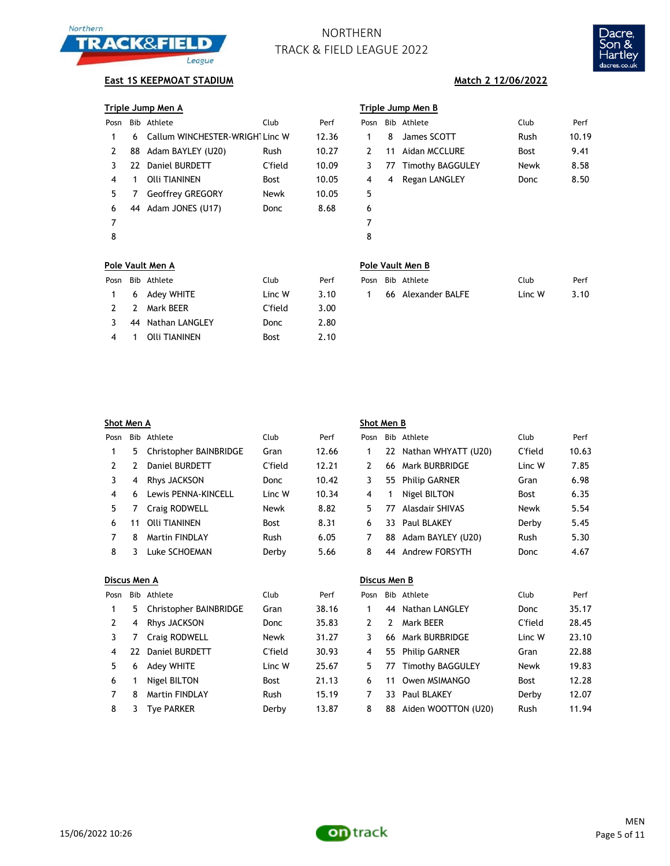



## **East 1S KEEPMOAT STADIUM Match 2 12/06/2022**

| Triple Jump Men A | Triple Jump Men B |  |  |
|-------------------|-------------------|--|--|
|                   |                   |  |  |

|   |                         | Club                                                                                  | Perf                            | Pos            |
|---|-------------------------|---------------------------------------------------------------------------------------|---------------------------------|----------------|
|   |                         |                                                                                       | 12.36                           | $\mathbf 1$    |
|   |                         | Rush                                                                                  | 10.27                           | $\overline{2}$ |
|   |                         | C'field                                                                               | 10.09                           | 3              |
| 1 | Olli TIANINEN           | <b>Bost</b>                                                                           | 10.05                           | 4              |
| 7 | <b>Geoffrey GREGORY</b> | Newk                                                                                  | 10.05                           | 5              |
|   |                         | Donc                                                                                  | 8.68                            | 6              |
|   |                         |                                                                                       |                                 | 7              |
|   |                         |                                                                                       |                                 | 8              |
|   |                         | Bib Athlete<br>6.<br>88 Adam BAYLEY (U20)<br>22 Daniel BURDETT<br>44 Adam JONES (U17) | Callum WINCHESTER-WRIGHT Linc W |                |

|               |    | Triple Jump Men A              |             |       | Triple Jump Men B |    |                     |             |       |  |
|---------------|----|--------------------------------|-------------|-------|-------------------|----|---------------------|-------------|-------|--|
| Posn          |    | Bib Athlete                    | Club        | Perf  | Posn              |    | Bib Athlete         | Club        | Perf  |  |
|               | 6  | Callum WINCHESTER-WRIGH Linc W |             | 12.36 |                   | 8  | James SCOTT         | Rush        | 10.19 |  |
| $\mathcal{L}$ | 88 | Adam BAYLEY (U20)              | <b>Rush</b> | 10.27 | 2                 | 11 | Aidan MCCLURE       | <b>Bost</b> | 9.41  |  |
| 3             | 22 | Daniel BURDETT                 | C'field     | 10.09 | 3                 |    | 77 Timothy BAGGULEY | Newk        | 8.58  |  |
| 4             |    | Olli TIANINEN                  | <b>Bost</b> | 10.05 | 4                 | 4  | Regan LANGLEY       | Donc        | 8.50  |  |
| 5.            |    | <b>Geoffrey GREGORY</b>        | Newk        | 10.05 | 5                 |    |                     |             |       |  |
| 6             | 44 | Adam JONES (U17)               | Donc        | 8.68  | 6                 |    |                     |             |       |  |
| 7             |    |                                |             |       | 7                 |    |                     |             |       |  |
| 8             |    |                                |             |       | 8                 |    |                     |             |       |  |
|               |    |                                |             |       |                   |    |                     |             |       |  |

## **Pole Vault Men A Pole Vault Men B**

|                |   | osn Bib Athlete?  | Club        | Perf |
|----------------|---|-------------------|-------------|------|
| $\mathbf{1}$   |   | 6 Adey WHITE      | Linc W      | 3.10 |
| $\overline{2}$ |   | 2 Mark BEER       | C'field     | 3.00 |
| -3             |   | 44 Nathan LANGLEY | Donc        | 2.80 |
| 4              | 1 | Olli TIANINEN     | <b>Bost</b> | 2.10 |

|  | Posn Bib Athlete | Club          | Perf |  | Posn Bib Athlete     | Club   | Perf |
|--|------------------|---------------|------|--|----------------------|--------|------|
|  | 1 6 Adey WHITE   | Linc W $3.10$ |      |  | 1 66 Alexander BALFE | Linc W | 3.10 |

| Shot Men A   |     |                        |         |       | Shot Men B     |               |                      |             |       |  |
|--------------|-----|------------------------|---------|-------|----------------|---------------|----------------------|-------------|-------|--|
| Posn         | Bib | Athlete                | Club    | Perf  | Posn           |               | Bib Athlete          | Club        | Perf  |  |
| 1            | 5   | Christopher BAINBRIDGE | Gran    | 12.66 | 1              | 22            | Nathan WHYATT (U20)  | C'field     | 10.63 |  |
| 2            | 2   | Daniel BURDETT         | C'field | 12.21 | 2              | 66            | Mark BURBRIDGE       | Linc W      | 7.85  |  |
| 3            | 4   | Rhys JACKSON           | Donc    | 10.42 | 3              | 55            | <b>Philip GARNER</b> | Gran        | 6.98  |  |
| 4            | 6   | Lewis PENNA-KINCELL    | Linc W  | 10.34 | 4              | 1             | Nigel BILTON         | <b>Bost</b> | 6.35  |  |
| 5            |     | Craig RODWELL          | Newk    | 8.82  | 5              | 77            | Alasdair SHIVAS      | Newk        | 5.54  |  |
| 6            | 11  | Olli TIANINEN          | Bost    | 8.31  | 6              | 33            | Paul BLAKEY          | Derby       | 5.45  |  |
| 7            | 8   | <b>Martin FINDLAY</b>  | Rush    | 6.05  | 7              | 88            | Adam BAYLEY (U20)    | Rush        | 5.30  |  |
| 8            | 3   | Luke SCHOEMAN          | Derby   | 5.66  | 8              | 44            | Andrew FORSYTH       | Donc        | 4.67  |  |
| Discus Men A |     |                        |         |       | Discus Men B   |               |                      |             |       |  |
| Posn         |     | Bib Athlete            | Club    | Perf  | Posn           |               | Bib Athlete          | Club        | Perf  |  |
| 1            | 5   | Christopher BAINBRIDGE | Gran    | 38.16 | 1              | 44            | Nathan LANGLEY       | Donc        | 35.17 |  |
| 2            | 4   | Rhys JACKSON           | Donc    | 35.83 | $\overline{2}$ | $\mathcal{P}$ | Mark BEER            | C'field     | 28.45 |  |
| 3            |     | Craig RODWELL          | Newk    | 31.27 | 3              | 66            | Mark BURBRIDGE       | Linc W      | 23.10 |  |
| 4            | 22  | Daniel BURDETT         | C'field | 30.93 | 4              | 55            | <b>Philip GARNER</b> | Gran        | 22.88 |  |

| 5. | 6 Adey WHITE     | Linc W      |
|----|------------------|-------------|
| 6. | 1 Nigel BILTON   | <b>Bost</b> |
|    | 8 Martin FINDLAY | Rush        |
| ۰  | 2.500000         | Dorby,      |

| 'osn           |    | Bib Athlete            | Club        | Perf  | Posn |    | Bib Athlete             | Club        | Perf  |
|----------------|----|------------------------|-------------|-------|------|----|-------------------------|-------------|-------|
| $\mathbf{1}$   | 5. | Christopher BAINBRIDGE | Gran        | 38.16 |      |    | 44 Nathan LANGLEY       | Donc        | 35.17 |
| 2              | 4  | Rhys JACKSON           | Donc        | 35.83 |      | 2  | Mark BEER               | C'field     | 28.45 |
| 3              |    | Craig RODWELL          | Newk        | 31.27 |      | 66 | Mark BURBRIDGE          | Linc W      | 23.10 |
| $\overline{4}$ | 22 | Daniel BURDETT         | C'field     | 30.93 | 4    |    | 55 Philip GARNER        | Gran        | 22.88 |
| .5             | 6  | Adey WHITE             | Linc W      | 25.67 | 5.   | 77 | <b>Timothy BAGGULEY</b> | Newk        | 19.83 |
| 6              |    | Nigel BILTON           | <b>Bost</b> | 21.13 | 6    | 11 | Owen MSIMANGO           | <b>Bost</b> | 12.28 |
| 7              | 8  | <b>Martin FINDLAY</b>  | Rush        | 15.19 |      |    | 33 Paul BLAKEY          | Derby       | 12.07 |
| 8              |    | <b>Tve PARKER</b>      | Derby       | 13.87 | 8    | 88 | Aiden WOOTTON (U20)     | <b>Rush</b> | 11.94 |

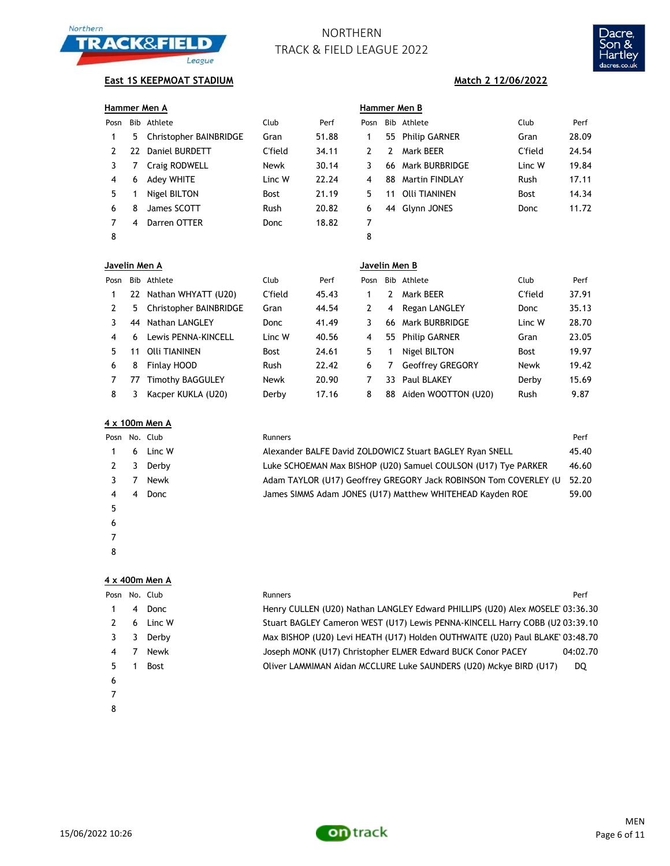



# **East 1S KEEPMOAT STADIUM Match 2 12/06/2022**

| Hammer Men A   |     |                         |             |       | Hammer Men B  |            |                       |             |       |
|----------------|-----|-------------------------|-------------|-------|---------------|------------|-----------------------|-------------|-------|
| Posn           | Bib | Athlete                 | Club        | Perf  | Posn          | <b>Bib</b> | Athlete               | Club        | Perf  |
| 1              | 5.  | Christopher BAINBRIDGE  | Gran        | 51.88 | 1             | 55         | <b>Philip GARNER</b>  | Gran        | 28.09 |
| 2              | 22  | <b>Daniel BURDETT</b>   | C'field     | 34.11 | 2             | 2          | Mark BEER             | C'field     | 24.54 |
| 3              | 7   | Craig RODWELL           | Newk        | 30.14 | 3             | 66         | <b>Mark BURBRIDGE</b> | Linc W      | 19.84 |
| 4              | 6   | Adey WHITE              | Linc W      | 22.24 | 4             | 88         | <b>Martin FINDLAY</b> | Rush        | 17.11 |
| 5              |     | Nigel BILTON            | <b>Bost</b> | 21.19 | 5             | 11         | <b>Olli TIANINEN</b>  | <b>Bost</b> | 14.34 |
| 6              | 8   | James SCOTT             | Rush        | 20.82 | 6             |            | 44 Glynn JONES        | Donc        | 11.72 |
| 7              | 4   | Darren OTTER            | Donc        | 18.82 | 7             |            |                       |             |       |
| 8              |     |                         |             |       | 8             |            |                       |             |       |
| Javelin Men A  |     |                         |             |       | Javelin Men B |            |                       |             |       |
| Posn           | Bib | Athlete                 | Club        | Perf  | Posn          | <b>Bib</b> | Athlete               | Club        | Perf  |
| 1              | 22  | Nathan WHYATT (U20)     | C'field     | 45.43 | 1             | 2          | Mark BEER             | C'field     | 37.91 |
| $\overline{2}$ | 5.  | Christopher BAINBRIDGE  | Gran        | 44.54 | 2             | 4          | Regan LANGLEY         | Donc        | 35.13 |
| 3              | 44  | <b>Nathan LANGLEY</b>   | Donc        | 41.49 | 3             | 66         | <b>Mark BURBRIDGE</b> | Linc W      | 28.70 |
| 4              | 6   | Lewis PENNA-KINCELL     | Linc W      | 40.56 | 4             | 55         | <b>Philip GARNER</b>  | Gran        | 23.05 |
| 5              | 11  | <b>Olli TIANINEN</b>    | <b>Bost</b> | 24.61 | 5             | 1          | Nigel BILTON          | <b>Bost</b> | 19.97 |
| 6              | 8   | Finlay HOOD             | Rush        | 22.42 | 6             | 7          | Geoffrey GREGORY      | Newk        | 19.42 |
| 7              | 77  | <b>Timothy BAGGULEY</b> | Newk        | 20.90 | 7             | 33         | <b>Paul BLAKEY</b>    | Derby       | 15.69 |
| 8              | 3.  | Kacper KUKLA (U20)      | Derby       | 17.16 | 8             | 88         | Aiden WOOTTON (U20)   | Rush        | 9.87  |

|   | 4 x 100m Men A |               |                                                                  |       |  |  |  |  |  |  |
|---|----------------|---------------|------------------------------------------------------------------|-------|--|--|--|--|--|--|
|   |                | Posn No. Club | Runners                                                          | Perf  |  |  |  |  |  |  |
|   | 6              | Linc W        | Alexander BALFE David ZOLDOWICZ Stuart BAGLEY Ryan SNELL         | 45.40 |  |  |  |  |  |  |
|   | 3              | Derby         | Luke SCHOEMAN Max BISHOP (U20) Samuel COULSON (U17) Tye PARKER   | 46.60 |  |  |  |  |  |  |
|   |                | Newk          | Adam TAYLOR (U17) Geoffrey GREGORY Jack ROBINSON Tom COVERLEY (U | 52.20 |  |  |  |  |  |  |
|   | 4              | Donc          | James SIMMS Adam JONES (U17) Matthew WHITEHEAD Kayden ROE        | 59.00 |  |  |  |  |  |  |
| 5 |                |               |                                                                  |       |  |  |  |  |  |  |
| 6 |                |               |                                                                  |       |  |  |  |  |  |  |

## **4 x 400m Men A**

 

| Posn |   | No. Club    | <b>Runners</b>                                                               | Perf     |
|------|---|-------------|------------------------------------------------------------------------------|----------|
|      | 4 | Donc        | Henry CULLEN (U20) Nathan LANGLEY Edward PHILLIPS (U20) Alex MOSELE 03:36.30 |          |
|      | 6 | Linc W      | Stuart BAGLEY Cameron WEST (U17) Lewis PENNA-KINCELL Harry COBB (U2 03:39.10 |          |
|      | 3 | Derby       | Max BISHOP (U20) Levi HEATH (U17) Holden OUTHWAITE (U20) Paul BLAKE 03:48.70 |          |
| 4    |   | Newk        | Joseph MONK (U17) Christopher ELMER Edward BUCK Conor PACEY                  | 04:02.70 |
| 5    |   | <b>Bost</b> | Oliver LAMMIMAN Aidan MCCLURE Luke SAUNDERS (U20) Mckye BIRD (U17)           | DQ       |
| 6    |   |             |                                                                              |          |
|      |   |             |                                                                              |          |
| 8    |   |             |                                                                              |          |



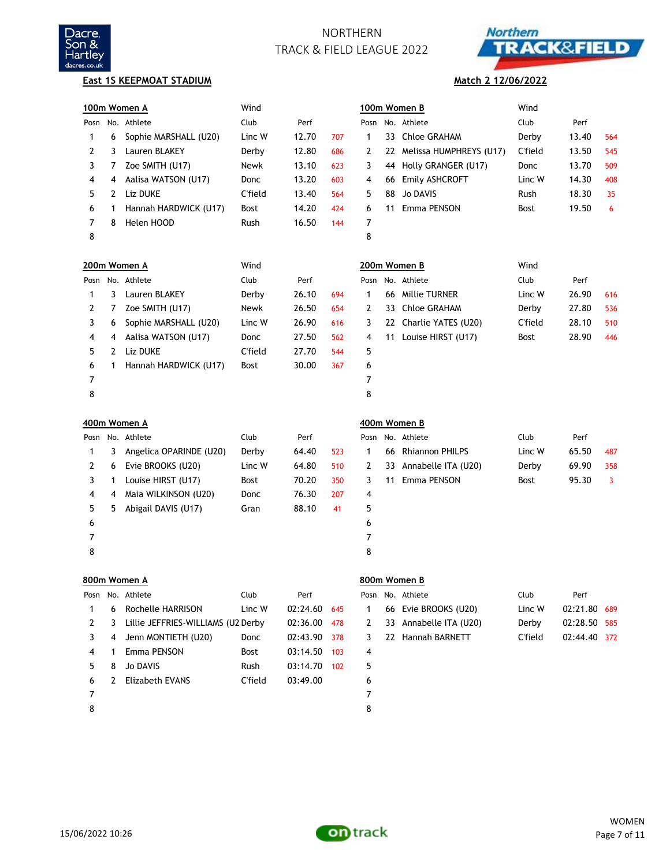



### **East 1S KEEPMOAT STADIUM**

## **Match 2 12/06/2022**

|      |              | 100m Women A                       | Wind    |          |     |              |    | 100m Women B            | Wind           |              |     |
|------|--------------|------------------------------------|---------|----------|-----|--------------|----|-------------------------|----------------|--------------|-----|
| Posn |              | No. Athlete                        | Club    | Perf     |     |              |    | Posn No. Athlete        | Club           | Perf         |     |
| 1    | 6            | Sophie MARSHALL (U20)              | Linc W  | 12.70    | 707 | 1            | 33 | Chloe GRAHAM            | Derby          | 13.40        | 564 |
| 2    | 3            | Lauren BLAKEY                      | Derby   | 12.80    | 686 | 2            | 22 | Melissa HUMPHREYS (U17) | C'field        | 13.50        | 545 |
| 3    | 7            | Zoe SMITH (U17)                    | Newk    | 13.10    | 623 | 3            | 44 | Holly GRANGER (U17)     | Donc           | 13.70        | 509 |
| 4    | 4            | Aalisa WATSON (U17)                | Donc    | 13.20    | 603 | 4            | 66 | Emily ASHCROFT          | Linc W         | 14.30        | 408 |
| 5    | 2            | Liz DUKE                           | C'field | 13.40    | 564 | 5            | 88 | <b>Jo DAVIS</b>         | Rush           | 18.30        | 35  |
| 6    | 1            | Hannah HARDWICK (U17)              | Bost    | 14.20    | 424 | 6            | 11 | Emma PENSON             | Bost           | 19.50        | 6   |
| 7    | 8            | Helen HOOD                         | Rush    | 16.50    | 144 | 7            |    |                         |                |              |     |
| 8    |              |                                    |         |          |     | 8            |    |                         |                |              |     |
|      |              | 200m Women A                       | Wind    |          |     |              |    | 200m Women B            | Wind           |              |     |
| Posn |              | No. Athlete                        | Club    | Perf     |     | Posn         |    | No. Athlete             | Club           | Perf         |     |
| 1    | 3            | Lauren BLAKEY                      | Derby   | 26.10    | 694 | 1            | 66 | <b>Millie TURNER</b>    | Linc W         | 26.90        | 616 |
| 2    | 7            | Zoe SMITH (U17)                    | Newk    | 26.50    | 654 | 2            | 33 | <b>Chloe GRAHAM</b>     | Derby          | 27.80        | 536 |
| 3    | 6            | Sophie MARSHALL (U20)              | Linc W  | 26.90    | 616 | 3            | 22 | Charlie YATES (U20)     | <b>C'field</b> | 28.10        | 510 |
| 4    | 4            | Aalisa WATSON (U17)                | Donc    | 27.50    | 562 | 4            | 11 | Louise HIRST (U17)      | Bost           | 28.90        | 446 |
| 5    | $\mathbf{2}$ | Liz DUKE                           | C'field | 27.70    | 544 | 5            |    |                         |                |              |     |
| 6    | 1            | Hannah HARDWICK (U17)              | Bost    | 30.00    | 367 | 6            |    |                         |                |              |     |
| 7    |              |                                    |         |          |     | 7            |    |                         |                |              |     |
| 8    |              |                                    |         |          |     | 8            |    |                         |                |              |     |
|      |              |                                    |         |          |     |              |    |                         |                |              |     |
|      |              | 400m Women A                       |         |          |     |              |    | 400m Women B            |                |              |     |
| Posn |              | No. Athlete                        | Club    | Perf     |     | Posn         |    | No. Athlete             | Club           | Perf         |     |
| 1    | 3            | Angelica OPARINDE (U20)            | Derby   | 64.40    | 523 | 1            | 66 | <b>Rhiannon PHILPS</b>  | Linc W         | 65.50        | 487 |
| 2    | 6            | Evie BROOKS (U20)                  | Linc W  | 64.80    | 510 | 2            | 33 | Annabelle ITA (U20)     | Derby          | 69.90        | 358 |
| 3    | 1            | Louise HIRST (U17)                 | Bost    | 70.20    | 350 | 3            | 11 | Emma PENSON             | Bost           | 95.30        | 3   |
| 4    | 4            | Maia WILKINSON (U20)               | Donc    | 76.30    | 207 | 4            |    |                         |                |              |     |
| 5    | 5            | Abigail DAVIS (U17)                | Gran    | 88.10    | 41  | 5            |    |                         |                |              |     |
| 6    |              |                                    |         |          |     | 6            |    |                         |                |              |     |
| 7    |              |                                    |         |          |     | 7            |    |                         |                |              |     |
| 8    |              |                                    |         |          |     | 8            |    |                         |                |              |     |
|      |              | 800m Women A                       |         |          |     |              |    | 800m Women B            |                |              |     |
| Posn |              | No. Athlete                        | Club    | Perf     |     | Posn         |    | No. Athlete             | Club           | Perf         |     |
| 1    | 6            | Rochelle HARRISON                  | Linc W  | 02:24.60 | 645 | $\mathbf{1}$ | 66 | Evie BROOKS (U20)       | Linc W         | 02:21.80     | 689 |
| 2    | 3            | Lillie JEFFRIES-WILLIAMS (U2 Derby |         | 02:36.00 | 478 | 2            |    | 33 Annabelle ITA (U20)  | Derby          | 02:28.50 585 |     |
| 3    | 4            | Jenn MONTIETH (U20)                | Donc    | 02:43.90 | 378 | 3            |    | 22 Hannah BARNETT       | <b>C'field</b> | 02:44.40 372 |     |
| 4    | 1            | Emma PENSON                        | Bost    | 03:14.50 | 103 | 4            |    |                         |                |              |     |
| 5    | 8            | <b>Jo DAVIS</b>                    | Rush    | 03:14.70 | 102 | 5            |    |                         |                |              |     |
| 6    | 2            | <b>Elizabeth EVANS</b>             | C'field | 03:49.00 |     | 6            |    |                         |                |              |     |
| 7    |              |                                    |         |          |     | 7            |    |                         |                |              |     |

15/06/2022 10:26

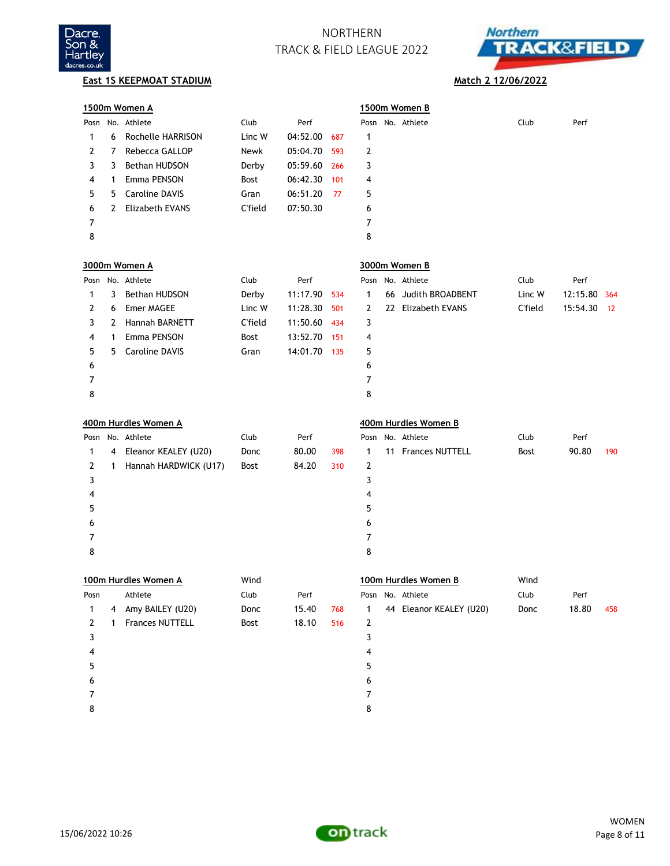



**East 1S KEEPMOAT STADIUM Match 2 12/06/2022** 

|        |   | 1500m Women A         |                |          |     |        | 1500m Women B           |                |          |     |
|--------|---|-----------------------|----------------|----------|-----|--------|-------------------------|----------------|----------|-----|
|        |   | Posn No. Athlete      | Club           | Perf     |     |        | Posn No. Athlete        | Club           | Perf     |     |
| 1      | 6 | Rochelle HARRISON     | Linc W         | 04:52.00 | 687 | 1      |                         |                |          |     |
| 2      | 7 | Rebecca GALLOP        | Newk           | 05:04.70 | 593 | 2      |                         |                |          |     |
| 3      | 3 | Bethan HUDSON         | Derby          | 05:59.60 | 266 | 3      |                         |                |          |     |
| 4      | 1 | Emma PENSON           | Bost           | 06:42.30 | 101 | 4      |                         |                |          |     |
| 5      | 5 | <b>Caroline DAVIS</b> | Gran           | 06:51.20 | 77  | 5      |                         |                |          |     |
| 6      | 2 | Elizabeth EVANS       | <b>C'field</b> | 07:50.30 |     | 6      |                         |                |          |     |
| 7      |   |                       |                |          |     | 7      |                         |                |          |     |
| 8      |   |                       |                |          |     | 8      |                         |                |          |     |
|        |   | 3000m Women A         |                |          |     |        | 3000m Women B           |                |          |     |
|        |   | Posn No. Athlete      | Club           | Perf     |     |        | Posn No. Athlete        | Club           | Perf     |     |
| 1      | 3 | Bethan HUDSON         | Derby          | 11:17.90 | 534 | 1      | 66 Judith BROADBENT     | Linc W         | 12:15.80 | 364 |
| 2      | 6 | Emer MAGEE            | Linc W         | 11:28.30 | 501 | 2      | 22 Elizabeth EVANS      | <b>C'field</b> | 15:54.30 | 12  |
| 3      | 2 | Hannah BARNETT        | <b>C'field</b> | 11:50.60 | 434 | 3      |                         |                |          |     |
| 4      | 1 | Emma PENSON           | Bost           | 13:52.70 | 151 | 4      |                         |                |          |     |
| 5      | 5 | <b>Caroline DAVIS</b> | Gran           | 14:01.70 | 135 | 5      |                         |                |          |     |
| 6      |   |                       |                |          |     | 6      |                         |                |          |     |
| 7      |   |                       |                |          |     | 7      |                         |                |          |     |
| 8      |   |                       |                |          |     | 8      |                         |                |          |     |
|        |   | 400m Hurdles Women A  |                |          |     |        | 400m Hurdles Women B    |                |          |     |
|        |   | Posn No. Athlete      | Club           | Perf     |     |        | Posn No. Athlete        | Club           | Perf     |     |
| 1      | 4 | Eleanor KEALEY (U20)  | Donc           | 80.00    | 398 | 1      | 11 Frances NUTTELL      | <b>Bost</b>    | 90.80    | 190 |
| 2      | 1 | Hannah HARDWICK (U17) | Bost           | 84.20    | 310 | 2      |                         |                |          |     |
| 3      |   |                       |                |          |     | 3      |                         |                |          |     |
| 4      |   |                       |                |          |     | 4      |                         |                |          |     |
| 5      |   |                       |                |          |     | 5      |                         |                |          |     |
| 6      |   |                       |                |          |     | 6      |                         |                |          |     |
| 7      |   |                       |                |          |     |        |                         |                |          |     |
|        |   |                       |                |          |     | 7      |                         |                |          |     |
| 8      |   |                       |                |          |     | 8      |                         |                |          |     |
|        |   |                       | Wind           |          |     |        |                         | Wind           |          |     |
|        |   | 100m Hurdles Women A  |                |          |     |        | 100m Hurdles Women B    |                |          |     |
| Posn   |   | Athlete               | Club           | Perf     |     |        | Posn No. Athlete        | Club           | Perf     |     |
| 1      | 4 | Amy BAILEY (U20)      | Donc           | 15.40    | 768 | 1      | 44 Eleanor KEALEY (U20) | Donc           | 18.80    | 458 |
| 2      | 1 | Frances NUTTELL       | Bost           | 18.10    | 516 | 2      |                         |                |          |     |
| 3<br>4 |   |                       |                |          |     | 3<br>4 |                         |                |          |     |
|        |   |                       |                |          |     |        |                         |                |          |     |
| 5      |   |                       |                |          |     | 5      |                         |                |          |     |
| 6<br>7 |   |                       |                |          |     | 6<br>7 |                         |                |          |     |

15/06/2022 10:26

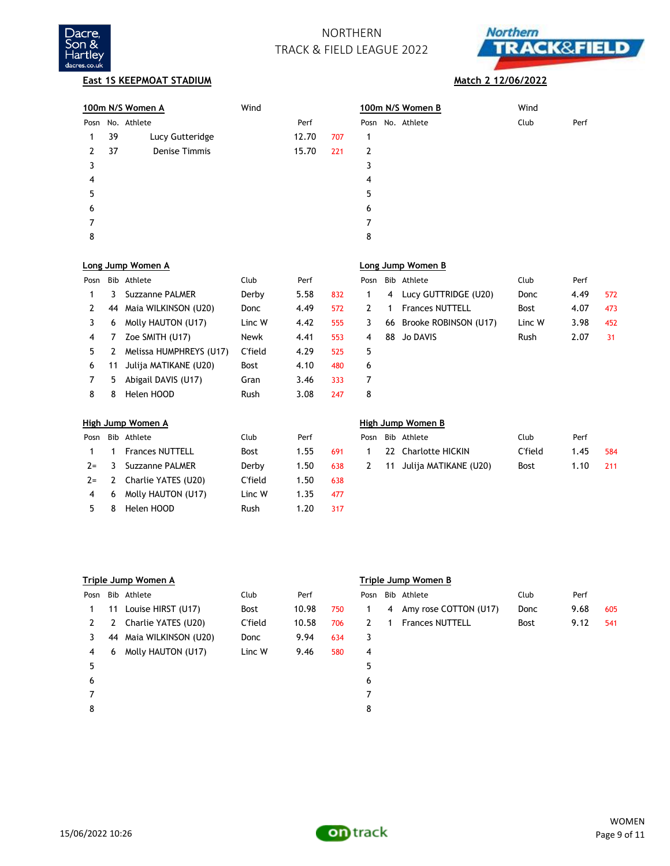



### **East 1S KEEPMOAT STADIUM Match 2 12/06/2022**

|               |    | 100m N/S Women A     | Wind   |       |     |              |    | 100m N/S Women B       | Wind   |      |     |
|---------------|----|----------------------|--------|-------|-----|--------------|----|------------------------|--------|------|-----|
| Posn          |    | No. Athlete          |        | Perf  |     |              |    | Posn No. Athlete       | Club   | Perf |     |
|               | 39 | Lucy Gutteridge      |        | 12.70 | 707 |              |    |                        |        |      |     |
| 2             | 37 | <b>Denise Timmis</b> |        | 15.70 | 221 | 2            |    |                        |        |      |     |
| 3             |    |                      |        |       |     | 3            |    |                        |        |      |     |
| 4             |    |                      |        |       |     | 4            |    |                        |        |      |     |
| 5             |    |                      |        |       |     | 5            |    |                        |        |      |     |
| 6             |    |                      |        |       |     | 6            |    |                        |        |      |     |
|               |    |                      |        |       |     | 7            |    |                        |        |      |     |
| 8             |    |                      |        |       |     | 8            |    |                        |        |      |     |
|               |    | Long Jump Women A    |        |       |     |              |    | Long Jump Women B      |        |      |     |
| Posn          |    | Bib Athlete          | Club   | Perf  |     | Posn         |    | Bib Athlete            | Club   | Perf |     |
|               | 3  | Suzzanne PALMER      | Derby  | 5.58  | 832 | 1.           | 4  | Lucy GUTTRIDGE (U20)   | Donc   | 4.49 | 572 |
| $\mathcal{P}$ | 44 | Maia WILKINSON (U20) | Donc   | 4.49  | 572 | $\mathbf{2}$ | 1  | <b>Frances NUTTELL</b> | Bost   | 4.07 | 473 |
| 3             | 6  | Molly HAUTON (U17)   | Linc W | 4.42  | 555 | 3            | 66 | Brooke ROBINSON (U17)  | Linc W | 3.98 | 452 |
| 4             | 7  | Zoe SMITH (U17)      | Newk   | 4.41  | 553 | 4            | 88 | Jo DAVIS               | Rush   | 2.07 | 31  |

|       |   | High Jump Women A      |             |      |     |      |    | High Jump Women B     |             |      |
|-------|---|------------------------|-------------|------|-----|------|----|-----------------------|-------------|------|
| Posn  |   | Bib Athlete            | Club        | Perf |     | Posn |    | Bib Athlete           | Club        | Perf |
|       |   | <b>Frances NUTTELL</b> | <b>Bost</b> | 1.55 | 691 |      |    | 22 Charlotte HICKIN   | C'field     | 1.45 |
| $2 =$ | 3 | Suzzanne PALMER        | Derby       | 1.50 | 638 | 2    | 11 | Julija MATIKANE (U20) | <b>Bost</b> | 1.10 |
| $2 =$ | 2 | Charlie YATES (U20)    | C'field     | 1.50 | 638 |      |    |                       |             |      |
| 4     | 6 | Molly HAUTON (U17)     | Linc W      | 1.35 | 477 |      |    |                       |             |      |
|       | 8 | Helen HOOD             | Rush        | 1.20 | 317 |      |    |                       |             |      |

 2 Melissa HUMPHREYS (U17) C'field 4.29 525 5 11 Julija MATIKANE (U20) Bost 4.10 480 6

### 5 Abigail DAVIS (U17) Gran 3.46 333 7 8 Helen HOOD Rush 3.08 247 8

| ligh Jump Women A |                      |             |      |     | High Jump Women B |  |                            |             |      |     |  |
|-------------------|----------------------|-------------|------|-----|-------------------|--|----------------------------|-------------|------|-----|--|
|                   | 'osn Bib Athlete     | Club        | Perf |     |                   |  | Posn Bib Athlete           | Club        | Perf |     |  |
|                   | 1 1 Frances NUTTELL  | <b>Bost</b> | 1.55 | 691 |                   |  | 22 Charlotte HICKIN        | C'field     | 1.45 | 584 |  |
|                   | 2= 3 Suzzanne PALMER | Derby       | 1.50 | 638 |                   |  | 2 11 Julija MATIKANE (U20) | <b>Bost</b> | 1.10 |     |  |

|      | Triple Jump Women A |                      |             |       |     |      |   | Triple Jump Women B    |             |      |     |
|------|---------------------|----------------------|-------------|-------|-----|------|---|------------------------|-------------|------|-----|
| Posn |                     | Bib Athlete          | Club        | Perf  |     | Posn |   | Bib Athlete            | Club        | Perf |     |
|      | 11                  | Louise HIRST (U17)   | <b>Bost</b> | 10.98 | 750 | 1.   | 4 | Amy rose COTTON (U17)  | Donc        | 9.68 | 605 |
| 2    |                     | Charlie YATES (U20)  | C'field     | 10.58 | 706 | 2    |   | <b>Frances NUTTELL</b> | <b>Bost</b> | 9.12 | 541 |
| 3    | 44                  | Maia WILKINSON (U20) | Donc        | 9.94  | 634 | 3    |   |                        |             |      |     |
| 4    | 6                   | Molly HAUTON (U17)   | Linc W      | 9.46  | 580 | 4    |   |                        |             |      |     |
| 5    |                     |                      |             |       |     | 5    |   |                        |             |      |     |
| 6    |                     |                      |             |       |     | 6    |   |                        |             |      |     |
|      |                     |                      |             |       |     | 7    |   |                        |             |      |     |
| 8    |                     |                      |             |       |     | 8    |   |                        |             |      |     |

### **Triple Jump Women A Triple Jump Women B**

|   | osn Bib Athlete           | Club        | Perf |     |
|---|---------------------------|-------------|------|-----|
|   | 1 4 Amy rose COTTON (U17) | Donc        | 9.68 | 605 |
|   | 2 1 Frances NUTTELL       | <b>Bost</b> | 9.12 | 541 |
| 3 |                           |             |      |     |
| 4 |                           |             |      |     |
| 5 |                           |             |      |     |

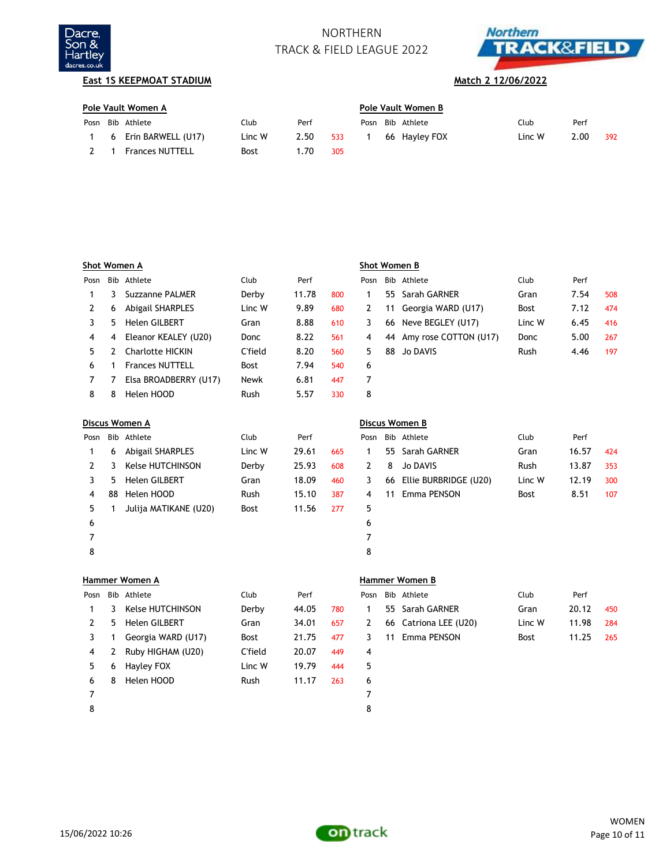



# **East 1S KEEPMOAT STADIUM Match 2 12/06/2022**

|      | Pole Vault Women A |                        |        |      |     | Pole Vault Women B |  |                  |        |      |     |  |
|------|--------------------|------------------------|--------|------|-----|--------------------|--|------------------|--------|------|-----|--|
| Posn |                    | Bib Athlete            | Club   | Perf |     |                    |  | Posn Bib Athlete | Club   | Perf |     |  |
|      |                    | 6 Erin BARWELL (U17)   | Linc W | 2.50 | 533 |                    |  | 66 Hayley FOX    | Linc W | 2.00 | 392 |  |
|      |                    | <b>Frances NUTTELL</b> | Bost   | .70  | 305 |                    |  |                  |        |      |     |  |

|      |    | Shot Women A            |             |       |     |      |    | Shot Women B          |             |       |     |
|------|----|-------------------------|-------------|-------|-----|------|----|-----------------------|-------------|-------|-----|
| Posn |    | Bib Athlete             | Club        | Perf  |     | Posn |    | Bib Athlete           | Club        | Perf  |     |
| 1    | 3  | <b>Suzzanne PALMER</b>  | Derby       | 11.78 | 800 | 1    | 55 | Sarah GARNER          | Gran        | 7.54  | 508 |
| 2    | 6  | <b>Abigail SHARPLES</b> | Linc W      | 9.89  | 680 | 2    | 11 | Georgia WARD (U17)    | <b>Bost</b> | 7.12  | 474 |
| 3    | 5  | <b>Helen GILBERT</b>    | Gran        | 8.88  | 610 | 3    | 66 | Neve BEGLEY (U17)     | Linc W      | 6.45  | 416 |
| 4    | 4  | Eleanor KEALEY (U20)    | Donc        | 8.22  | 561 | 4    | 44 | Amy rose COTTON (U17) | Donc        | 5.00  | 267 |
| 5    | 2  | <b>Charlotte HICKIN</b> | C'field     | 8.20  | 560 | 5    | 88 | <b>Jo DAVIS</b>       | <b>Rush</b> | 4.46  | 197 |
| 6    | 1  | <b>Frances NUTTELL</b>  | <b>Bost</b> | 7.94  | 540 | 6    |    |                       |             |       |     |
| 7    | 7  | Elsa BROADBERRY (U17)   | Newk        | 6.81  | 447 | 7    |    |                       |             |       |     |
| 8    | 8  | Helen HOOD              | Rush        | 5.57  | 330 | 8    |    |                       |             |       |     |
|      |    | Discus Women A          |             |       |     |      |    | Discus Women B        |             |       |     |
| Posn |    | Bib Athlete             | Club        | Perf  |     | Posn |    | Bib Athlete           | Club        | Perf  |     |
| 1    | 6  | <b>Abigail SHARPLES</b> | Linc W      | 29.61 | 665 | 1    | 55 | Sarah GARNER          | Gran        | 16.57 | 424 |
| 2    | 3  | <b>Kelse HUTCHINSON</b> | Derby       | 25.93 | 608 | 2    | 8  | <b>Jo DAVIS</b>       | <b>Rush</b> | 13.87 | 353 |
| 3    | 5. | <b>Helen GILBERT</b>    | Gran        | 18.09 | 460 | 3    | 66 | Ellie BURBRIDGE (U20) | Linc W      | 12.19 | 300 |
| 4    | 88 | Helen HOOD              | <b>Rush</b> | 15.10 | 387 | 4    | 11 | Emma PENSON           | <b>Bost</b> | 8.51  | 107 |
| 5    | 1  | Julija MATIKANE (U20)   | Bost        | 11.56 | 277 | 5    |    |                       |             |       |     |
| 6    |    |                         |             |       |     | 6    |    |                       |             |       |     |
| 7    |    |                         |             |       |     | 7    |    |                       |             |       |     |
| 8    |    |                         |             |       |     | 8    |    |                       |             |       |     |
|      |    | Hammer Women A          |             |       |     |      |    | Hammer Women B        |             |       |     |
| Posn |    | Bib Athlete             | Club        | Perf  |     | Posn |    | Bib Athlete           | Club        | Perf  |     |

| Posn          |    | Bib Athlete             | Club        | Perf  |     |    |    | Posn Bib Athlete      | Club        | Perf  |     |
|---------------|----|-------------------------|-------------|-------|-----|----|----|-----------------------|-------------|-------|-----|
|               | 3. | <b>Kelse HUTCHINSON</b> | Derby       | 44.05 | 780 |    |    | 55 Sarah GARNER       | Gran        | 20.12 | 450 |
| $\mathcal{L}$ | 5. | <b>Helen GILBERT</b>    | Gran        | 34.01 | 657 | 2  |    | 66 Catriona LEE (U20) | Linc W      | 11.98 | 284 |
|               |    | Georgia WARD (U17)      | <b>Bost</b> | 21.75 | 477 | 3  | 11 | Emma PENSON           | <b>Bost</b> | 11.25 | 265 |
| 4             | 2  | Ruby HIGHAM (U20)       | C'field     | 20.07 | 449 | 4  |    |                       |             |       |     |
| 5.            | 6  | Hayley FOX              | Linc W      | 19.79 | 444 | 5. |    |                       |             |       |     |
| 6             | 8  | Helen HOOD              | Rush        | 11.17 | 263 | 6  |    |                       |             |       |     |
|               |    |                         |             |       |     |    |    |                       |             |       |     |
| 8             |    |                         |             |       |     | 8  |    |                       |             |       |     |

| າ | Bib Athlete           | Club        | Perf  |      |
|---|-----------------------|-------------|-------|------|
|   | 55 Sarah GARNER       | Gran        | 20.12 | 450  |
|   | 66 Catriona LEE (U20) | Linc W      | 11.98 | 284  |
|   | 11 Emma PENSON        | <b>Bost</b> | 11.25 | -265 |
|   |                       |             |       |      |